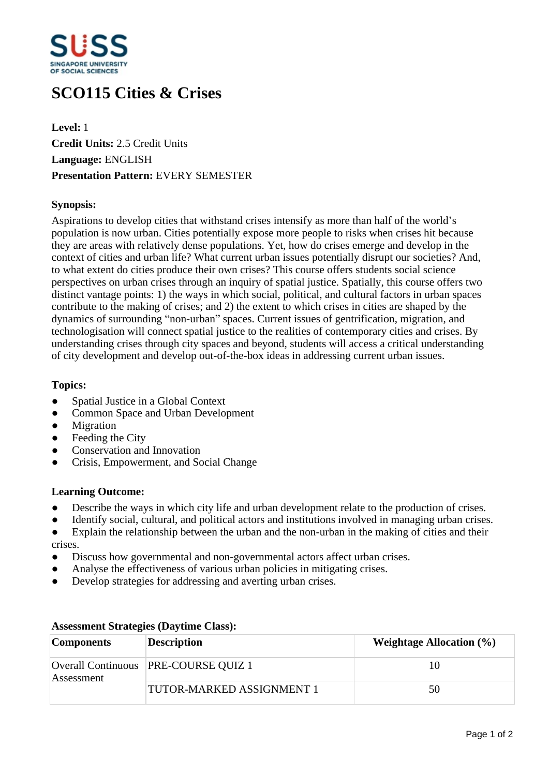

# **SCO115 Cities & Crises**

**Level:** 1 **Credit Units:** 2.5 Credit Units **Language:** ENGLISH **Presentation Pattern:** EVERY SEMESTER

# **Synopsis:**

Aspirations to develop cities that withstand crises intensify as more than half of the world's population is now urban. Cities potentially expose more people to risks when crises hit because they are areas with relatively dense populations. Yet, how do crises emerge and develop in the context of cities and urban life? What current urban issues potentially disrupt our societies? And, to what extent do cities produce their own crises? This course offers students social science perspectives on urban crises through an inquiry of spatial justice. Spatially, this course offers two distinct vantage points: 1) the ways in which social, political, and cultural factors in urban spaces contribute to the making of crises; and 2) the extent to which crises in cities are shaped by the dynamics of surrounding "non-urban" spaces. Current issues of gentrification, migration, and technologisation will connect spatial justice to the realities of contemporary cities and crises. By understanding crises through city spaces and beyond, students will access a critical understanding of city development and develop out-of-the-box ideas in addressing current urban issues.

# **Topics:**

- Spatial Justice in a Global Context
- Common Space and Urban Development
- Migration
- Feeding the City
- ƔConservation and Innovation
- ƔCrisis, Empowerment, and Social Change

### **Learning Outcome:**

- Describe the ways in which city life and urban development relate to the production of crises.
- Identify social, cultural, and political actors and institutions involved in managing urban crises.
- Explain the relationship between the urban and the non-urban in the making of cities and their crises.
- Discuss how governmental and non-governmental actors affect urban crises.
- Analyse the effectiveness of various urban policies in mitigating crises.
- Develop strategies for addressing and averting urban crises.

| <b>Components</b> | <b>Description</b>                     | <b>Weightage Allocation</b> $(\%)$ |
|-------------------|----------------------------------------|------------------------------------|
| Assessment        | Overall Continuous   PRE-COURSE QUIZ 1 | 10                                 |
|                   | <b>TUTOR-MARKED ASSIGNMENT 1</b>       | 50                                 |

### **Assessment Strategies (Daytime Class):**